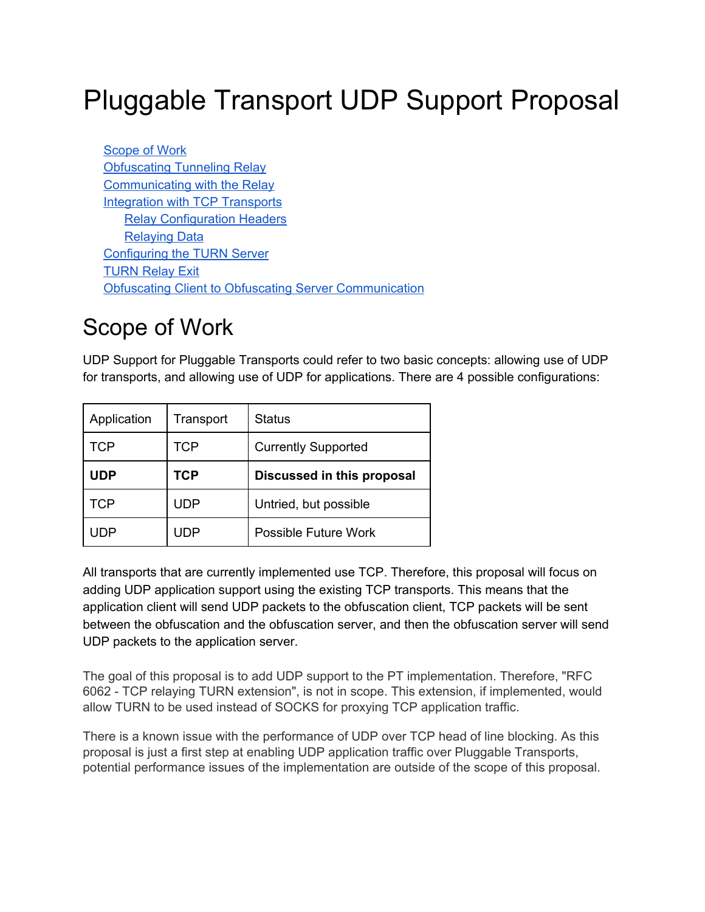# Pluggable Transport UDP Support Proposal

[Scope](#page-0-0) of Work [Obfuscating](#page-1-0) Tunneling Relay [Communicating](#page-1-1) with the Relay Integration with TCP [Transports](#page-2-0) Relay [Configuration](#page-2-1) Headers [Relaying](#page-3-0) Data [Configuring](#page-3-1) the TURN Server **[TURN](#page-4-0) Relay Exit** Obfuscating Client to Obfuscating Server [Communication](#page-4-1)

### <span id="page-0-0"></span>Scope of Work

UDP Support for Pluggable Transports could refer to two basic concepts: allowing use of UDP for transports, and allowing use of UDP for applications. There are 4 possible configurations:

| Application | Transport  | <b>Status</b>              |
|-------------|------------|----------------------------|
| <b>TCP</b>  | <b>TCP</b> | <b>Currently Supported</b> |
| <b>UDP</b>  | <b>TCP</b> | Discussed in this proposal |
|             |            |                            |
| <b>TCP</b>  | UDP        | Untried, but possible      |

All transports that are currently implemented use TCP. Therefore, this proposal will focus on adding UDP application support using the existing TCP transports. This means that the application client will send UDP packets to the obfuscation client, TCP packets will be sent between the obfuscation and the obfuscation server, and then the obfuscation server will send UDP packets to the application server.

The goal of this proposal is to add UDP support to the PT implementation. Therefore, "RFC 6062 TCP relaying TURN extension", is not in scope. This extension, if implemented, would allow TURN to be used instead of SOCKS for proxying TCP application traffic.

There is a known issue with the performance of UDP over TCP head of line blocking. As this proposal is just a first step at enabling UDP application traffic over Pluggable Transports, potential performance issues of the implementation are outside of the scope of this proposal.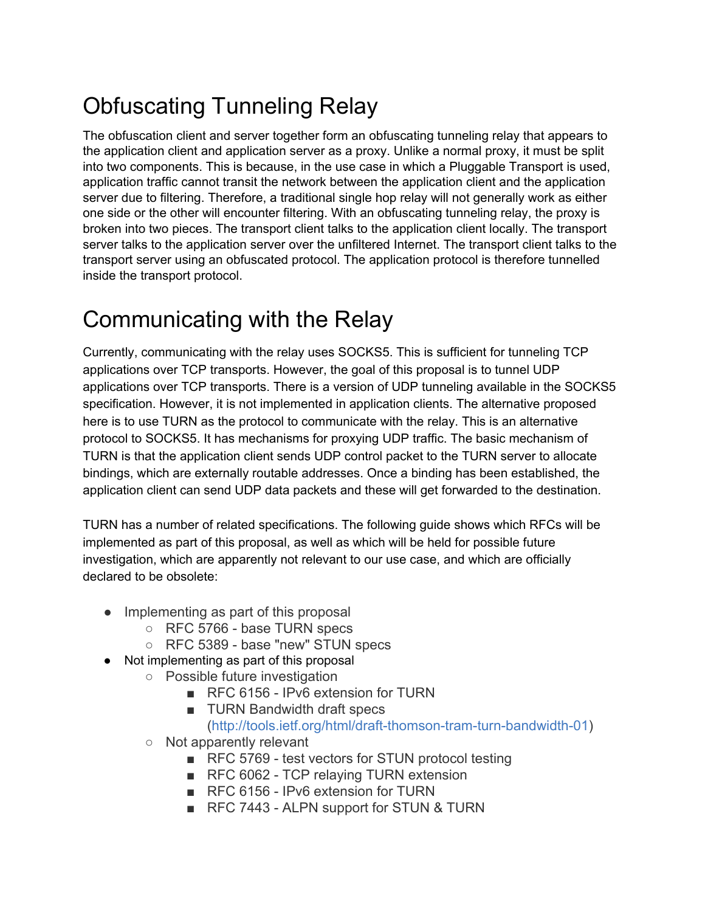## <span id="page-1-0"></span>Obfuscating Tunneling Relay

The obfuscation client and server together form an obfuscating tunneling relay that appears to the application client and application server as a proxy. Unlike a normal proxy, it must be split into two components. This is because, in the use case in which a Pluggable Transport is used, application traffic cannot transit the network between the application client and the application server due to filtering. Therefore, a traditional single hop relay will not generally work as either one side or the other will encounter filtering. With an obfuscating tunneling relay, the proxy is broken into two pieces. The transport client talks to the application client locally. The transport server talks to the application server over the unfiltered Internet. The transport client talks to the transport server using an obfuscated protocol. The application protocol is therefore tunnelled inside the transport protocol.

### <span id="page-1-1"></span>Communicating with the Relay

Currently, communicating with the relay uses SOCKS5. This is sufficient for tunneling TCP applications over TCP transports. However, the goal of this proposal is to tunnel UDP applications over TCP transports. There is a version of UDP tunneling available in the SOCKS5 specification. However, it is not implemented in application clients. The alternative proposed here is to use TURN as the protocol to communicate with the relay. This is an alternative protocol to SOCKS5. It has mechanisms for proxying UDP traffic. The basic mechanism of TURN is that the application client sends UDP control packet to the TURN server to allocate bindings, which are externally routable addresses. Once a binding has been established, the application client can send UDP data packets and these will get forwarded to the destination.

TURN has a number of related specifications. The following guide shows which RFCs will be implemented as part of this proposal, as well as which will be held for possible future investigation, which are apparently not relevant to our use case, and which are officially declared to be obsolete:

- Implementing as part of this proposal
	- RFC 5766 base TURN specs
	- RFC 5389 base "new" STUN specs
- Not implementing as part of this proposal
	- Possible future investigation
		- RFC 6156 IPv6 extension for TURN
		- TURN Bandwidth draft specs
			- (http://tools.ietf.org/html/draft-thomson-tram-turn-bandwidth-01)
	- Not apparently relevant
		- RFC 5769 test vectors for STUN protocol testing
		- RFC 6062 TCP relaying TURN extension
		- RFC 6156 IPv6 extension for TURN
		- RFC 7443 ALPN support for STUN & TURN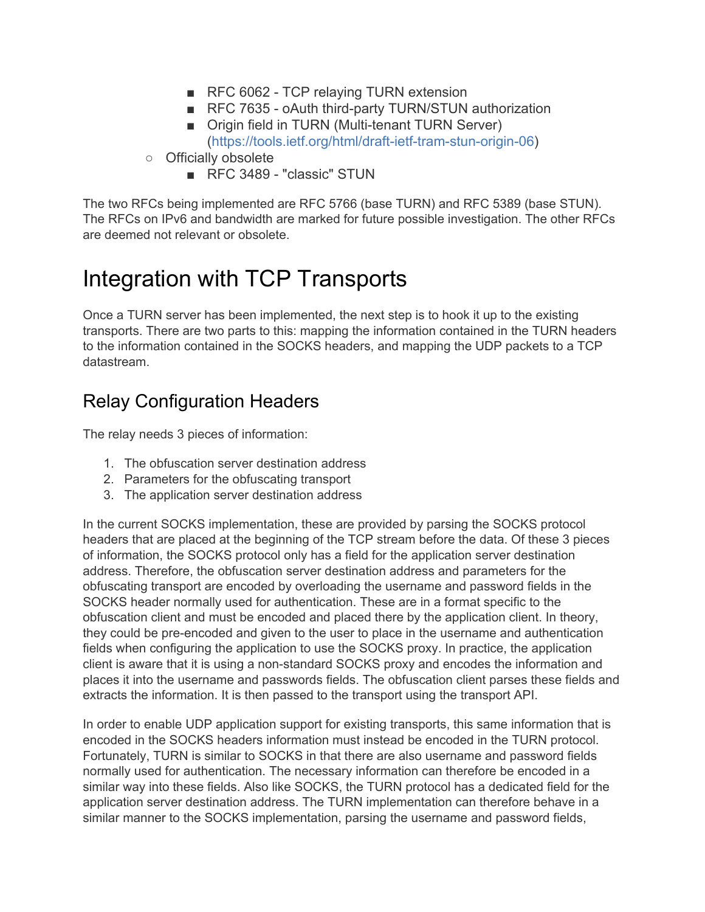- RFC 6062 TCP relaying TURN extension
- RFC 7635 oAuth third-party TURN/STUN authorization
- Origin field in TURN (Multi-tenant TURN Server) (https://tools.ietf.org/html/draft-ietf-tram-stun-origin-06)
- Officially obsolete
	- RFC 3489 "classic" STUN

The two RFCs being implemented are RFC 5766 (base TURN) and RFC 5389 (base STUN). The RFCs on IPv6 and bandwidth are marked for future possible investigation. The other RFCs are deemed not relevant or obsolete.

### <span id="page-2-0"></span>Integration with TCP Transports

Once a TURN server has been implemented, the next step is to hook it up to the existing transports. There are two parts to this: mapping the information contained in the TURN headers to the information contained in the SOCKS headers, and mapping the UDP packets to a TCP datastream.

#### <span id="page-2-1"></span>Relay Configuration Headers

The relay needs 3 pieces of information:

- 1. The obfuscation server destination address
- 2. Parameters for the obfuscating transport
- 3. The application server destination address

In the current SOCKS implementation, these are provided by parsing the SOCKS protocol headers that are placed at the beginning of the TCP stream before the data. Of these 3 pieces of information, the SOCKS protocol only has a field for the application server destination address. Therefore, the obfuscation server destination address and parameters for the obfuscating transport are encoded by overloading the username and password fields in the SOCKS header normally used for authentication. These are in a format specific to the obfuscation client and must be encoded and placed there by the application client. In theory, they could be pre-encoded and given to the user to place in the username and authentication fields when configuring the application to use the SOCKS proxy. In practice, the application client is aware that it is using a non-standard SOCKS proxy and encodes the information and places it into the username and passwords fields. The obfuscation client parses these fields and extracts the information. It is then passed to the transport using the transport API.

In order to enable UDP application support for existing transports, this same information that is encoded in the SOCKS headers information must instead be encoded in the TURN protocol. Fortunately, TURN is similar to SOCKS in that there are also username and password fields normally used for authentication. The necessary information can therefore be encoded in a similar way into these fields. Also like SOCKS, the TURN protocol has a dedicated field for the application server destination address. The TURN implementation can therefore behave in a similar manner to the SOCKS implementation, parsing the username and password fields,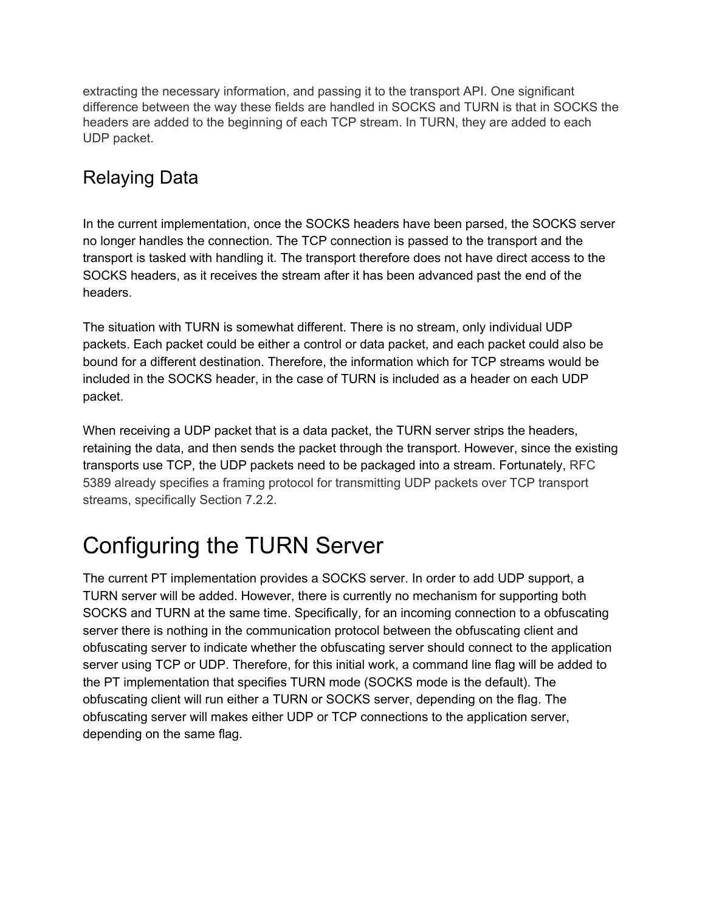extracting the necessary information, and passing it to the transport API. One significant difference between the way these fields are handled in SOCKS and TURN is that in SOCKS the headers are added to the beginning of each TCP stream. In TURN, they are added to each UDP packet.

#### <span id="page-3-0"></span>Relaying Data

In the current implementation, once the SOCKS headers have been parsed, the SOCKS server no longer handles the connection. The TCP connection is passed to the transport and the transport is tasked with handling it. The transport therefore does not have direct access to the SOCKS headers, as it receives the stream after it has been advanced past the end of the headers.

The situation with TURN is somewhat different. There is no stream, only individual UDP packets. Each packet could be either a control or data packet, and each packet could also be bound for a different destination. Therefore, the information which for TCP streams would be included in the SOCKS header, in the case of TURN is included as a header on each UDP packet.

When receiving a UDP packet that is a data packet, the TURN server strips the headers, retaining the data, and then sends the packet through the transport. However, since the existing transports use TCP, the UDP packets need to be packaged into a stream. Fortunately, RFC 5389 already specifies a framing protocol for transmitting UDP packets over TCP transport streams, specifically Section 7.2.2.

### <span id="page-3-1"></span>Configuring the TURN Server

The current PT implementation provides a SOCKS server. In order to add UDP support, a TURN server will be added. However, there is currently no mechanism for supporting both SOCKS and TURN at the same time. Specifically, for an incoming connection to a obfuscating server there is nothing in the communication protocol between the obfuscating client and obfuscating server to indicate whether the obfuscating server should connect to the application server using TCP or UDP. Therefore, for this initial work, a command line flag will be added to the PT implementation that specifies TURN mode (SOCKS mode is the default). The obfuscating client will run either a TURN or SOCKS server, depending on the flag. The obfuscating server will makes either UDP or TCP connections to the application server, depending on the same flag.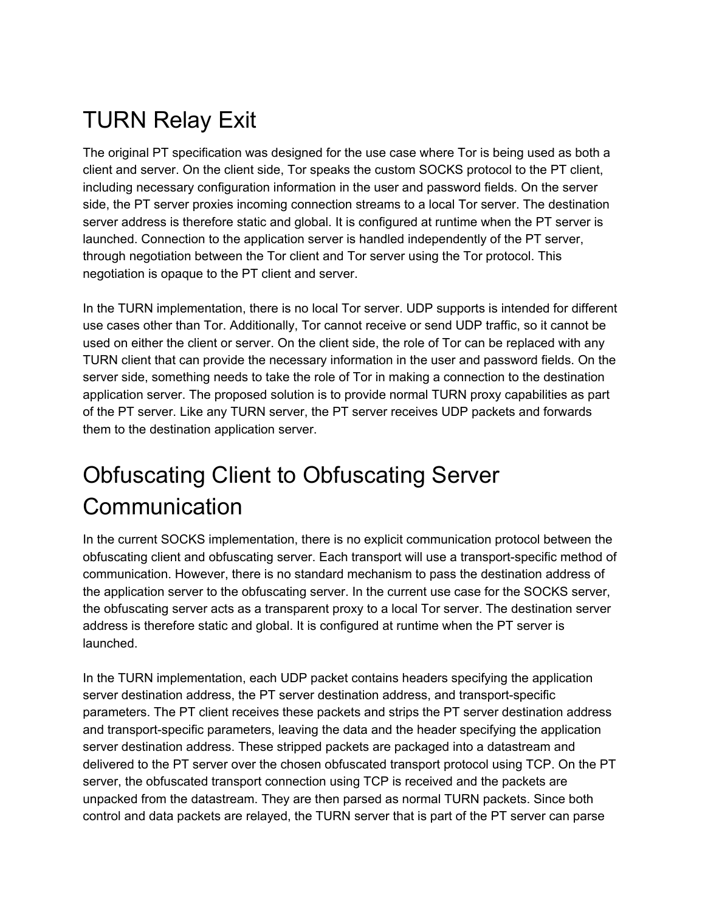# <span id="page-4-0"></span>TURN Relay Exit

The original PT specification was designed for the use case where Tor is being used as both a client and server. On the client side, Tor speaks the custom SOCKS protocol to the PT client, including necessary configuration information in the user and password fields. On the server side, the PT server proxies incoming connection streams to a local Tor server. The destination server address is therefore static and global. It is configured at runtime when the PT server is launched. Connection to the application server is handled independently of the PT server, through negotiation between the Tor client and Tor server using the Tor protocol. This negotiation is opaque to the PT client and server.

In the TURN implementation, there is no local Tor server. UDP supports is intended for different use cases other than Tor. Additionally, Tor cannot receive or send UDP traffic, so it cannot be used on either the client or server. On the client side, the role of Tor can be replaced with any TURN client that can provide the necessary information in the user and password fields. On the server side, something needs to take the role of Tor in making a connection to the destination application server. The proposed solution is to provide normal TURN proxy capabilities as part of the PT server. Like any TURN server, the PT server receives UDP packets and forwards them to the destination application server.

## <span id="page-4-1"></span>Obfuscating Client to Obfuscating Server Communication

In the current SOCKS implementation, there is no explicit communication protocol between the obfuscating client and obfuscating server. Each transport will use a transport-specific method of communication. However, there is no standard mechanism to pass the destination address of the application server to the obfuscating server. In the current use case for the SOCKS server, the obfuscating server acts as a transparent proxy to a local Tor server. The destination server address is therefore static and global. It is configured at runtime when the PT server is launched.

In the TURN implementation, each UDP packet contains headers specifying the application server destination address, the PT server destination address, and transport-specific parameters. The PT client receives these packets and strips the PT server destination address and transport-specific parameters, leaving the data and the header specifying the application server destination address. These stripped packets are packaged into a datastream and delivered to the PT server over the chosen obfuscated transport protocol using TCP. On the PT server, the obfuscated transport connection using TCP is received and the packets are unpacked from the datastream. They are then parsed as normal TURN packets. Since both control and data packets are relayed, the TURN server that is part of the PT server can parse